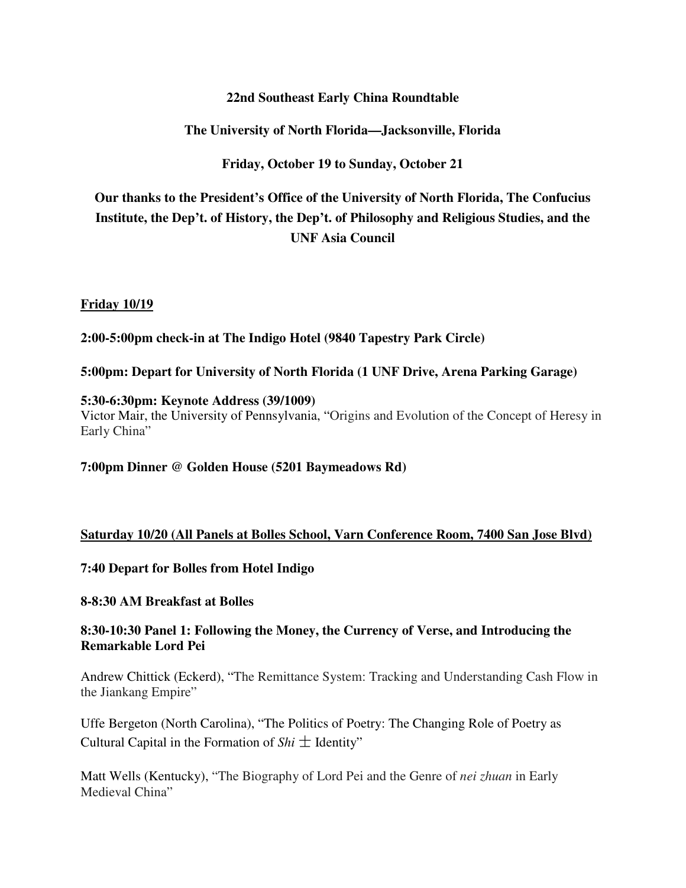### **22nd Southeast Early China Roundtable**

### **The University of North Florida—Jacksonville, Florida**

**Friday, October 19 to Sunday, October 21** 

# **Our thanks to the President's Office of the University of North Florida, The Confucius Institute, the Dep't. of History, the Dep't. of Philosophy and Religious Studies, and the UNF Asia Council**

#### **Friday 10/19**

**2:00-5:00pm check-in at The Indigo Hotel (9840 Tapestry Park Circle)** 

**5:00pm: Depart for University of North Florida (1 UNF Drive, Arena Parking Garage)** 

#### **5:30-6:30pm: Keynote Address (39/1009)**

Victor Mair, the University of Pennsylvania, "Origins and Evolution of the Concept of Heresy in Early China"

**7:00pm Dinner @ Golden House (5201 Baymeadows Rd)** 

### **Saturday 10/20 (All Panels at Bolles School, Varn Conference Room, 7400 San Jose Blvd)**

**7:40 Depart for Bolles from Hotel Indigo** 

#### **8-8:30 AM Breakfast at Bolles**

### **8:30-10:30 Panel 1: Following the Money, the Currency of Verse, and Introducing the Remarkable Lord Pei**

Andrew Chittick (Eckerd), "The Remittance System: Tracking and Understanding Cash Flow in the Jiankang Empire"

Uffe Bergeton (North Carolina), "The Politics of Poetry: The Changing Role of Poetry as Cultural Capital in the Formation of  $\textit{Shi} \pm \textit{Identity}$ 

Matt Wells (Kentucky), "The Biography of Lord Pei and the Genre of *nei zhuan* in Early Medieval China"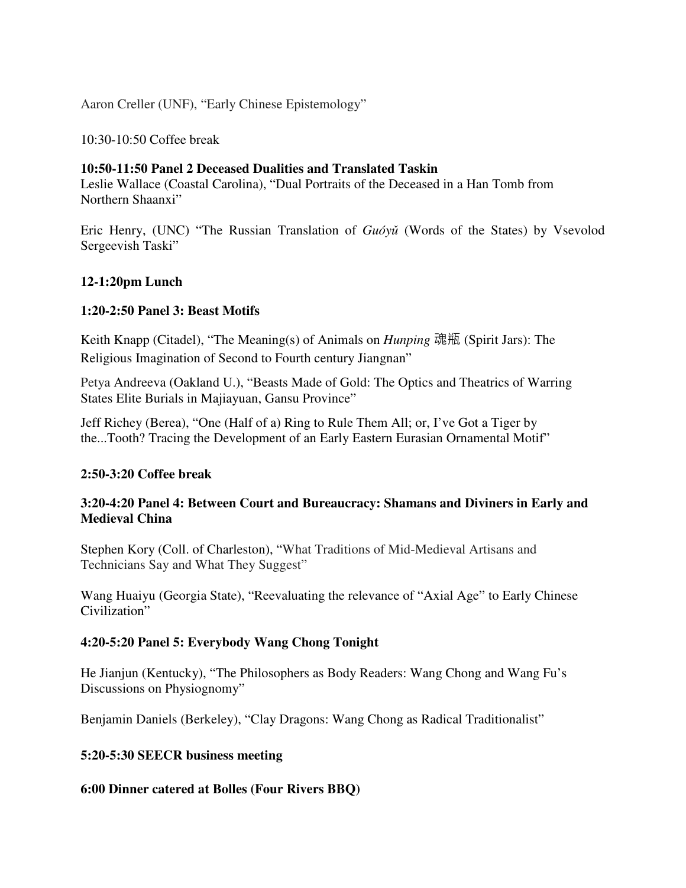Aaron Creller (UNF), "Early Chinese Epistemology"

10:30-10:50 Coffee break

#### **10:50-11:50 Panel 2 Deceased Dualities and Translated Taskin**

Leslie Wallace (Coastal Carolina), "Dual Portraits of the Deceased in a Han Tomb from Northern Shaanxi"

Eric Henry, (UNC) "The Russian Translation of *Guóyǔ* (Words of the States) by Vsevolod Sergeevish Taski"

### **12-1:20pm Lunch**

#### **1:20-2:50 Panel 3: Beast Motifs**

Keith Knapp (Citadel), "The Meaning(s) of Animals on *Hunping* 魂瓶 (Spirit Jars): The Religious Imagination of Second to Fourth century Jiangnan"

Petya Andreeva (Oakland U.), "Beasts Made of Gold: The Optics and Theatrics of Warring States Elite Burials in Majiayuan, Gansu Province"

Jeff Richey (Berea), "One (Half of a) Ring to Rule Them All; or, I've Got a Tiger by the...Tooth? Tracing the Development of an Early Eastern Eurasian Ornamental Motif"

#### **2:50-3:20 Coffee break**

### **3:20-4:20 Panel 4: Between Court and Bureaucracy: Shamans and Diviners in Early and Medieval China**

Stephen Kory (Coll. of Charleston), "What Traditions of Mid-Medieval Artisans and Technicians Say and What They Suggest"

Wang Huaiyu (Georgia State), "Reevaluating the relevance of "Axial Age" to Early Chinese Civilization"

### **4:20-5:20 Panel 5: Everybody Wang Chong Tonight**

He Jianjun (Kentucky), "The Philosophers as Body Readers: Wang Chong and Wang Fu's Discussions on Physiognomy"

Benjamin Daniels (Berkeley), "Clay Dragons: Wang Chong as Radical Traditionalist"

#### **5:20-5:30 SEECR business meeting**

#### **6:00 Dinner catered at Bolles (Four Rivers BBQ)**